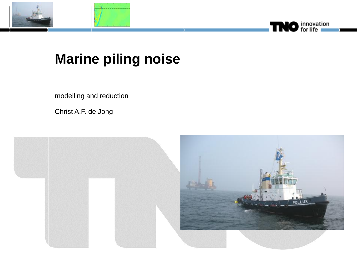





## **Marine piling noise**

modelling and reduction

Christ A.F. de Jong

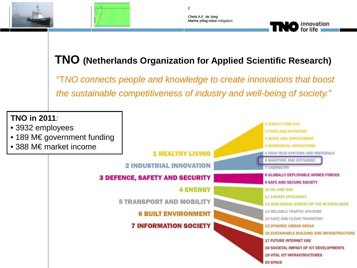



**TNO** innovation

#### **TNO (Netherlands Organization for Applied Scientific Research)**

 $\overline{2}$ 

"T*NO connects people and knowledge to create innovations that boost the sustainable competitiveness of industry and well-being of society."*

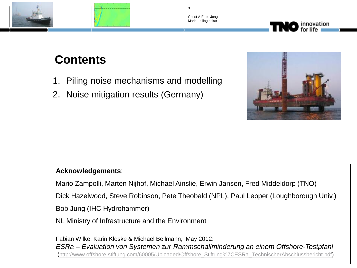





### **Contents**

- 1. Piling noise mechanisms and modelling
- 2. Noise mitigation results (Germany)



#### **Acknowledgements**:

Mario Zampolli, Marten Nijhof, Michael Ainslie, Erwin Jansen, Fred Middeldorp (TNO)

Dick Hazelwood, Steve Robinson, Pete Theobald (NPL), Paul Lepper (Loughborough Univ.)

Bob Jung (IHC Hydrohammer)

NL Ministry of Infrastructure and the Environment

Fabian Wilke, Karin Kloske & Michael Bellmann, May 2012: *ESRa – Evaluation von Systemen zur Rammschallminderung an einem Offshore-Testpfahl*  ([http://www.offshore-stiftung.com/60005/Uploaded/Offshore\\_Stiftung%7CESRa\\_TechnischerAbschlussbericht.pdf\)](http://www.offshore-stiftung.com/60005/Uploaded/Offshore_Stiftung%7CESRa_TechnischerAbschlussbericht.pdf)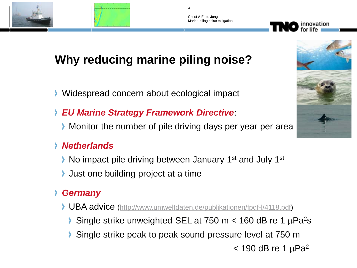



### **Why reducing marine piling noise?**

- **Widespread concern about ecological impact**
- *EU Marine Strategy Framework Directive*:
	- Monitor the number of pile driving days per year per area

#### *Netherlands*

- ▶ No impact pile driving between January 1<sup>st</sup> and July 1<sup>st</sup>
- If Just one building project at a time

#### *Germany*

- ◆ UBA advice [\(http://www.umweltdaten.de/publikationen/fpdf-l/4118.pdf\)](http://www.umweltdaten.de/publikationen/fpdf-l/4118.pdf)
	- Single strike unweighted SEL at 750 m  $<$  160 dB re 1  $\mu$ Pa<sup>2</sup>s
	- Single strike peak to peak sound pressure level at 750 m
		- $<$  190 dB re 1  $\mu$ Pa<sup>2</sup>



innovation

4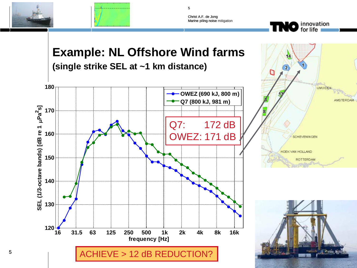



5

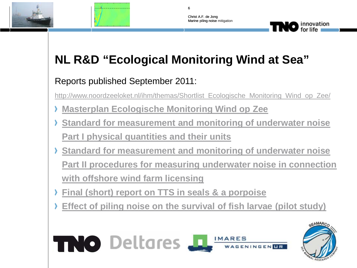



**TNO** innovation

### **NL R&D "Ecological Monitoring Wind at Sea"**

6

#### Reports published September 2011:

[http://www.noordzeeloket.nl/ihm/themas/Shortlist\\_Ecologische\\_Monitoring\\_Wind\\_op\\_Zee/](http://www.noordzeeloket.nl/ihm/themas/Shortlist_Ecologische_Monitoring_Wind_op_Zee/)

- **[Masterplan Ecologische Monitoring Wind op Zee](http://www.noordzeeloket.nl/ihm/Images/Masterplan Ecologische Monitoring Wind op Zee_tcm25-4988.pdf)**
- **[Standard for measurement and monitoring of underwater noise](http://www.noordzeeloket.nl/ihm/Images/Standard for measurement and monitoring of underwater noise Part I physical quantities and their units_tcm25-5012.pdf)  [Part I physical quantities and their units](http://www.noordzeeloket.nl/ihm/Images/Standard for measurement and monitoring of underwater noise Part I physical quantities and their units_tcm25-5012.pdf)**
- **[Standard for measurement and monitoring of underwater noise](http://www.noordzeeloket.nl/ihm/Images/Standard for measurement and monitoring of underwater noise%2C Part I_tcm25-5011.pdf)  [Part II procedures for measuring underwater noise in connection](http://www.noordzeeloket.nl/ihm/Images/Standard for measurement and monitoring of underwater noise%2C Part I_tcm25-5011.pdf)  [with offshore wind farm licensing](http://www.noordzeeloket.nl/ihm/Images/Standard for measurement and monitoring of underwater noise%2C Part I_tcm25-5011.pdf)**
- **[Final \(short\) report on TTS in seals & a porpoise](http://www.noordzeeloket.nl/ihm/Images/Final (short) report on TTS in seals %26 a porpoise_tcm25-4979.pdf)**
- **[Effect of piling noise on the survival of fish larvae \(pilot study\)](http://www.noordzeeloket.nl/ihm/Images/Effect of piling noise on the survival of fish larvae (pilot study)_tcm25-5013.pdf)**

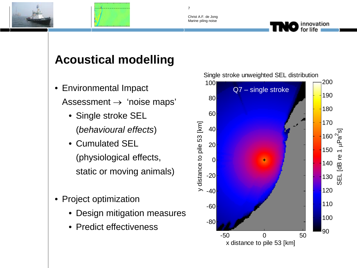



7

### **Acoustical modelling**

- Environmental Impact Assessment  $\rightarrow$  'noise maps'
	- Single stroke SEL (*behavioural effects*)
	- Cumulated SEL (physiological effects, static or moving animals)
- Project optimization
	- Design mitigation measures
	- Predict effectiveness



Single stroke unweighted SEL distribution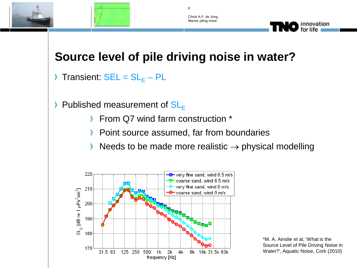



8

### **Source level of pile driving noise in water?**

- Transient:  $SEL = SL_F PL$ ⊁
- $\blacktriangleright$  Published measurement of  $SL_F$ 
	- From Q7 wind farm construction \*
	- Point source assumed, far from boundaries ≻
	- Needs to be made more realistic  $\rightarrow$  physical modelling



\*M. A. Ainslie et al, 'What is the Source Level of Pile Driving Noise in Water?', Aquatic Noise, Cork (2010)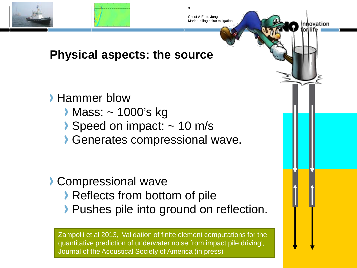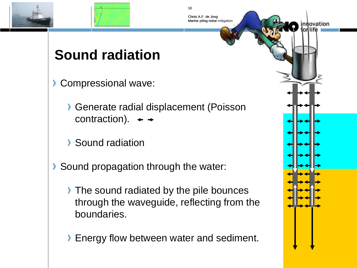



Christ A.F. de Jong

10

Marine piling noise mitigation

## **Sound radiation**

- Compressional wave:
	- Generate radial displacement (Poisson contraction).  $\leftrightarrow$
	- Sound radiation
- Sound propagation through the water:  $\lambda$ 
	- The sound radiated by the pile bounces through the waveguide, reflecting from the boundaries.
	- **Energy flow between water and sediment.**

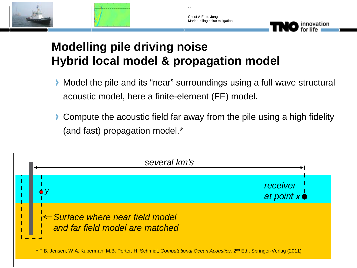



innovation

11

### **Modelling pile driving noise Hybrid local model & propagation model**

- Model the pile and its "near" surroundings using a full wave structural acoustic model, here a finite-element (FE) model.
- **Compute the acoustic field far away from the pile using a high fidelity** (and fast) propagation model.\*

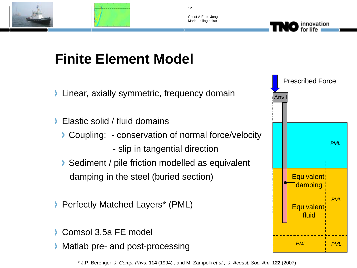



12

Christ A.F. de Jong Marine piling noise

## **Finite Element Model**

- **Example 2** Linear, axially symmetric, frequency domain
- Elastic solid / fluid domains У
	- ▶ Coupling: conservation of normal force/velocity
		- slip in tangential direction
	- Sediment / pile friction modelled as equivalent damping in the steel (buried section)
- **Perfectly Matched Layers\* (PML)**
- Comsol 3.5a FE model
- Matlab pre- and post-processing

\* J.P. Berenger, *J. Comp. Phys*. **114** (1994) , and M. Zampolli *et al.*, *J. Acoust. Soc. Am.* **122** (2007)

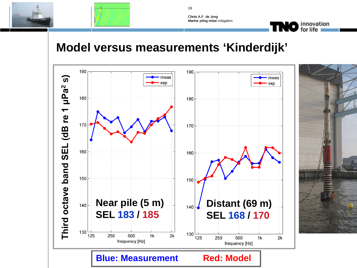



innovation<br>for life

### **Model versus measurements 'Kinderdijk'**



13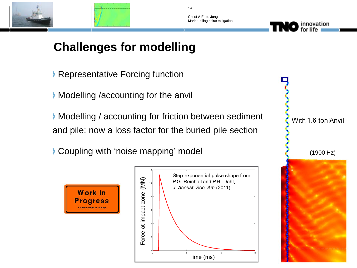



Christ A.F. de Jong

14

Marine piling noise mitigation

### **Challenges for modelling**

- **Representative Forcing function**
- **Modelling /accounting for the anvill**
- **Modelling / accounting for friction between sediment** and pile: now a loss factor for the buried pile section
- Coupling with 'noise mapping' model and the coupling with 'noise mapping' model





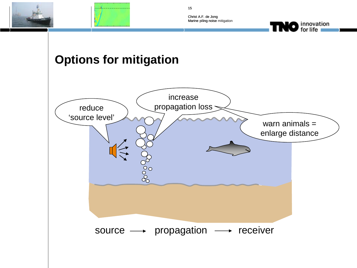



15



#### **Options for mitigation**

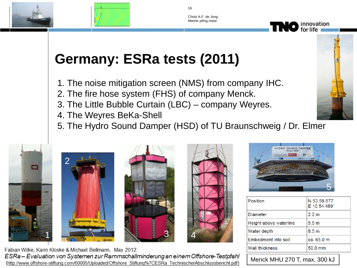



16

Christ A.F. de Jong Marine piling noise

# **Germany: ESRa tests (2011)**

- 1. The noise mitigation screen (NMS) from company IHC.
- 2. The fire hose system (FHS) of company Menck.
- 3. The Little Bubble Curtain (LBC) company Weyres.
- 4. The Weyres BeKa-Shell
- 5. The Hydro Sound Damper (HSD) of TU Braunschweig / Dr. Elmer













| Position               | N 53 59.877<br>E 10 54.489 |
|------------------------|----------------------------|
| <b>Diameter</b>        | 2.2 m                      |
| Height above waterline | 5.5 <sub>m</sub>           |
| Water depth            | 8.5 <sub>m</sub>           |
| Embedment into soil    | ca. 65.0 m                 |
| <b>Wall thickness</b>  | 50.0 mm                    |

Menck MHU 270 T, max. 300 kJ

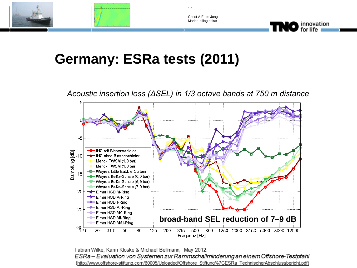



innovation<br>of the state of the state of the state of the state of the state of the state of the state of the state of the

17

## **Germany: ESRa tests (2011)**

*Acoustic insertion loss (ΔSEL) in 1/3 octave bands at 750 m distance*



Fabian Wilke, Karin Kloske & Michael Bellmann, May 2012: ESRa - Evaluation von Systemen zur Rammschallminderung an einem Offshore-Testpfahl (http://www.offshore-stiftung.com/60005/Uploaded/Offshore Stiftung%7CESRa TechnischerAbschlussbericht.pdf)